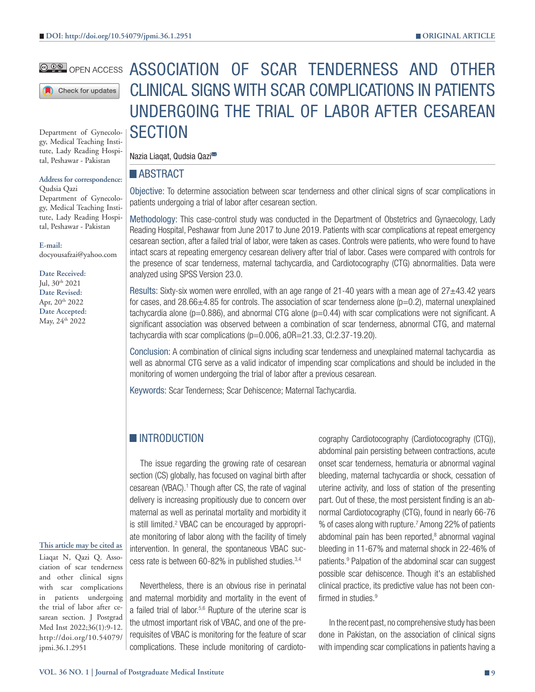Check for updates

Department of Gynecology, Medical Teaching Institute, Lady Reading Hospital, Peshawar - Pakistan

#### **Address for correspondence:** Qudsia Qazi

Department of Gynecology, Medical Teaching Institute, Lady Reading Hospital, Peshawar - Pakistan

**E-mail:** docyousafzai@yahoo.com

**Date Received:** Jul, 30th 2021 **Date Revised:** Apr, 20<sup>th</sup> 2022 **Date Accepted:** May, 24th 2022

# **@@@** open access ASSOCIATION OF SCAR TENDERNESS AND OTHER CLINICAL SIGNS WITH SCAR COMPLICATIONS IN PATIENTS UNDERGOING THE TRIAL OF LABOR AFTER CESAREAN **SECTION**

Nazia Liagat, Qudsia Qazi<sup>558</sup>

#### **ABSTRACT**

Objective: To determine association between scar tenderness and other clinical signs of scar complications in patients undergoing a trial of labor after cesarean section.

Methodology: This case-control study was conducted in the Department of Obstetrics and Gynaecology, Lady Reading Hospital, Peshawar from June 2017 to June 2019. Patients with scar complications at repeat emergency cesarean section, after a failed trial of labor, were taken as cases. Controls were patients, who were found to have intact scars at repeating emergency cesarean delivery after trial of labor. Cases were compared with controls for the presence of scar tenderness, maternal tachycardia, and Cardiotocography (CTG) abnormalities. Data were analyzed using SPSS Version 23.0.

Results: Sixty-six women were enrolled, with an age range of 21-40 years with a mean age of 27±43.42 years for cases, and  $28.66\pm4.85$  for controls. The association of scar tenderness alone ( $p=0.2$ ), maternal unexplained tachycardia alone ( $p=0.886$ ), and abnormal CTG alone ( $p=0.44$ ) with scar complications were not significant. A significant association was observed between a combination of scar tenderness, abnormal CTG, and maternal tachycardia with scar complications  $(p=0.006, aOR=21.33, C1:2.37-19.20)$ .

Conclusion: A combination of clinical signs including scar tenderness and unexplained maternal tachycardia as well as abnormal CTG serve as a valid indicator of impending scar complications and should be included in the monitoring of women undergoing the trial of labor after a previous cesarean.

Keywords: Scar Tenderness; Scar Dehiscence; Maternal Tachycardia.

## **INTRODUCTION**

The issue regarding the growing rate of cesarean section (CS) globally, has focused on vaginal birth after cesarean (VBAC).<sup>1</sup> Though after CS, the rate of vaginal delivery is increasing propitiously due to concern over maternal as well as perinatal mortality and morbidity it is still limited.<sup>2</sup> VBAC can be encouraged by appropriate monitoring of labor along with the facility of timely intervention. In general, the spontaneous VBAC success rate is between 60-82% in published studies.3,4

Nevertheless, there is an obvious rise in perinatal and maternal morbidity and mortality in the event of a failed trial of labor.5,6 Rupture of the uterine scar is the utmost important risk of VBAC, and one of the prerequisites of VBAC is monitoring for the feature of scar complications. These include monitoring of cardioto-

cography Cardiotocography (Cardiotocography (CTG)), abdominal pain persisting between contractions, acute onset scar tenderness, hematuria or abnormal vaginal bleeding, maternal tachycardia or shock, cessation of uterine activity, and loss of station of the presenting part. Out of these, the most persistent finding is an abnormal Cardiotocography (CTG), found in nearly 66-76 % of cases along with rupture.7 Among 22% of patients abdominal pain has been reported,<sup>8</sup> abnormal vaginal bleeding in 11-67% and maternal shock in 22-46% of patients.<sup>9</sup> Palpation of the abdominal scar can suggest possible scar dehiscence. Though it's an established clinical practice, its predictive value has not been confirmed in studies. $9$ 

In the recent past, no comprehensive study has been done in Pakistan, on the association of clinical signs with impending scar complications in patients having a

#### **This article may be cited as** Liaqat N, Qazi Q. Asso-

ciation of scar tenderness and other clinical signs with scar complications in patients undergoing the trial of labor after cesarean section. J Postgrad Med Inst 2022;36(1):9-12. http://doi.org/10.54079/ jpmi.36.1.2951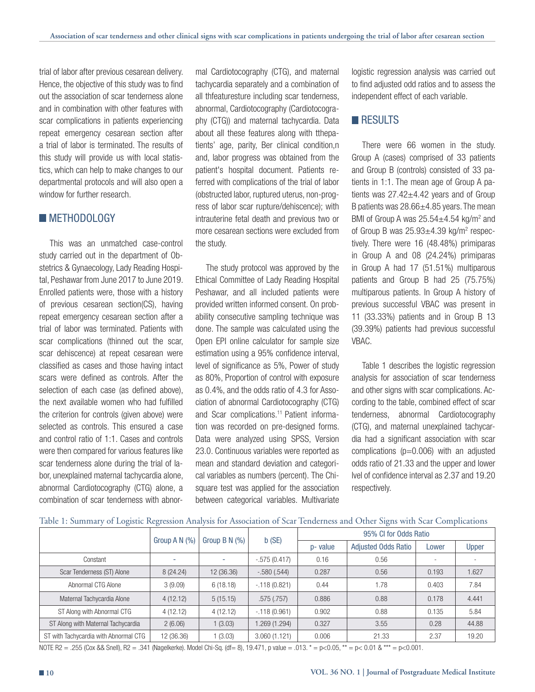trial of labor after previous cesarean delivery. Hence, the objective of this study was to find out the association of scar tenderness alone and in combination with other features with scar complications in patients experiencing repeat emergency cesarean section after a trial of labor is terminated. The results of this study will provide us with local statistics, which can help to make changes to our departmental protocols and will also open a window for further research

## **METHODOLOGY**

This was an unmatched case-control study carried out in the department of Obstetrics & Gynaecology, Lady Reading Hospital, Peshawar from June 2017 to June 2019. Enrolled patients were, those with a history of previous cesarean section(CS), having repeat emergency cesarean section after a trial of labor was terminated. Patients with scar complications (thinned out the scar, scar dehiscence) at repeat cesarean were classified as cases and those having intact scars were defined as controls. After the selection of each case (as defined above), the next available women who had fulfilled the criterion for controls (given above) were selected as controls. This ensured a case and control ratio of 1:1. Cases and controls were then compared for various features like scar tenderness alone during the trial of labor, unexplained maternal tachycardia alone, abnormal Cardiotocography (CTG) alone, a combination of scar tenderness with abnormal Cardiotocography (CTG), and maternal tachycardia separately and a combination of all thfeaturesture including scar tenderness, abnormal, Cardiotocography (Cardiotocography (CTG)) and maternal tachycardia. Data about all these features along with tthepatients' age, parity, Ber clinical condition,n and, labor progress was obtained from the patient's hospital document. Patients referred with complications of the trial of labor (obstructed labor, ruptured uterus, non-progress of labor scar rupture/dehiscence); with intrauterine fetal death and previous two or more cesarean sections were excluded from the study.

The study protocol was approved by the Ethical Committee of Lady Reading Hospital Peshawar, and all included patients were provided written informed consent. On probability consecutive sampling technique was done. The sample was calculated using the Open EPI online calculator for sample size estimation using a 95% confidence interval, level of significance as 5%, Power of study as 80%, Proportion of control with exposure as 0.4%, and the odds ratio of 4.3 for Association of abnormal Cardiotocography (CTG) and Scar complications.11 Patient information was recorded on pre-designed forms. Data were analyzed using SPSS, Version 23.0. Continuous variables were reported as mean and standard deviation and categorical variables as numbers (percent). The Chisquare test was applied for the association between categorical variables. Multivariate

logistic regression analysis was carried out to find adjusted odd ratios and to assess the independent effect of each variable.

#### **RESULTS**

There were 66 women in the study. Group A (cases) comprised of 33 patients and Group B (controls) consisted of 33 patients in 1:1. The mean age of Group A patients was  $27.42 \pm 4.42$  years and of Group B patients was  $28.66 \pm 4.85$  years. The mean BMI of Group A was  $25.54 \pm 4.54$  kg/m<sup>2</sup> and of Group B was  $25.93 \pm 4.39$  kg/m<sup>2</sup> respectively. There were 16 (48.48%) primiparas in Group A and 08 (24.24%) primiparas in Group A had 17 (51.51%) multiparous patients and Group B had 25 (75.75%) multiparous patients. In Group A history of previous successful VBAC was present in 11 (33.33%) patients and in Group B 13 (39.39%) patients had previous successful VBAC.

Table 1 describes the logistic regression analysis for association of scar tenderness and other signs with scar complications. According to the table, combined effect of scar tenderness, abnormal Cardiotocography (CTG), and maternal unexplained tachycardia had a significant association with scar complications ( $p=0.006$ ) with an adjusted odds ratio of 21.33 and the upper and lower lvel of confidence interval as 2.37 and 19.20 respectively.

|  |  |  |  |  | Table 1: Summary of Logistic Regression Analysis for Association of Scar Tenderness and Other Signs with Scar Complications |  |  |  |  |  |  |
|--|--|--|--|--|-----------------------------------------------------------------------------------------------------------------------------|--|--|--|--|--|--|
|  |  |  |  |  |                                                                                                                             |  |  |  |  |  |  |

|                                       |                    |                   |                | 95% CI for Odds Ratio |                            |       |       |  |  |  |
|---------------------------------------|--------------------|-------------------|----------------|-----------------------|----------------------------|-------|-------|--|--|--|
|                                       | Group A $N$ $(\%)$ | Group B N $(\% )$ | b(SE)          | p- value              | <b>Adjusted Odds Ratio</b> | Lower | Upper |  |  |  |
| Constant                              |                    | ۰                 | $-.575(0.417)$ | 0.16                  | 0.56                       | ۰     |       |  |  |  |
| Scar Tenderness (ST) Alone            | 8 (24.24)          | 12 (36.36)        | $-.580(.544)$  | 0.287                 | 0.56                       | 0.193 | 1.627 |  |  |  |
| Abnormal CTG Alone                    | 3(9.09)            | 6(18.18)          | $-.118(0.821)$ | 0.44                  | 1.78                       | 0.403 | 7.84  |  |  |  |
| Maternal Tachycardia Alone            | 4(12.12)           | 5(15.15)          | .575(.757)     | 0.886                 | 0.88                       | 0.178 | 4.441 |  |  |  |
| ST Along with Abnormal CTG            | 4(12.12)           | 4(12.12)          | $-.118(0.961)$ | 0.902                 | 0.88                       | 0.135 | 5.84  |  |  |  |
| ST Along with Maternal Tachycardia    | 2(6.06)            | 1(3.03)           | (1.294). 269-  | 0.327                 | 3.55                       | 0.28  | 44.88 |  |  |  |
| ST with Tachycardia with Abnormal CTG | 12 (36.36)         | 1(3.03)           | 3.060(1.121)   | 0.006                 | 21.33                      | 2.37  | 19.20 |  |  |  |

NOTE R2 = .255 (Cox && Snell), R2 = .341 (Nagelkerke). Model Chi-Sq. (df= 8), 19.471, p value = .013. \* = p<0.05, \*\* = p< 0.01 & \*\*\* = p<0.001.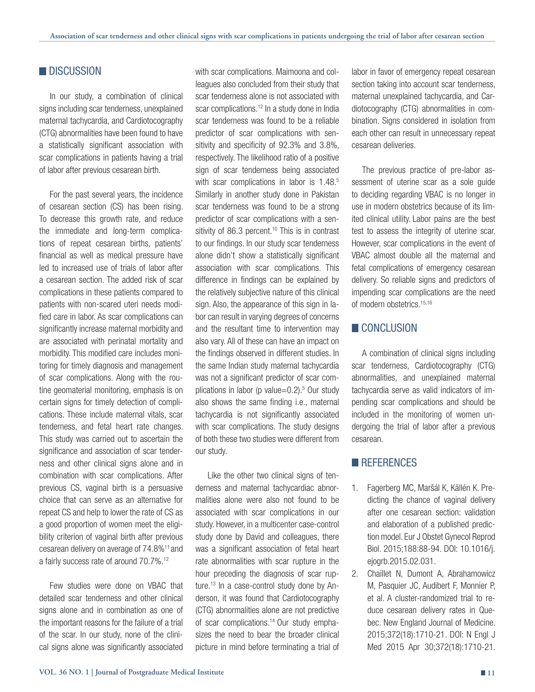# **DISCUSSION**

In our study, a combination of clinical signs including scar tenderness, unexplained maternal tachycardia, and Cardiotocography (CTG) abnormalities have been found to have a statistically significant association with scar complications in patients having a trial of labor after previous cesarean birth.

For the past several years, the incidence of cesarean section (CS) has been rising. To decrease this growth rate, and reduce the immediate and long-term complications of repeat cesarean births, patients' financial as well as medical pressure have led to increased use of trials of labor after a cesarean section. The added risk of scar complications in these patients compared to patients with non-scared uteri needs modified care in labor. As scar complications can significantly increase maternal morbidity and are associated with perinatal mortality and morbidity. This modified care includes monitoring for timely diagnosis and management of scar complications. Along with the routine geomaterial monitoring, emphasis is on certain signs for timely detection of complications. These include maternal vitals, scar tenderness, and fetal heart rate changes. This study was carried out to ascertain the significance and association of scar tenderness and other clinical signs alone and in combination with scar complications. After previous CS, vaginal birth is a persuasive choice that can serve as an alternative for repeat CS and help to lower the rate of CS as a good proportion of women meet the eligibility criterion of vaginal birth after previous cesarean delivery on average of 74.8%11 and a fairly success rate of around 70.7%.12

Few studies were done on VBAC that detailed scar tenderness and other clinical signs alone and in combination as one of the important reasons for the failure of a trial of the scar. In our study, none of the clinical signs alone was significantly associated with scar complications. Maimoona and colleagues also concluded from their study that scar tenderness alone is not associated with scar complications.<sup>12</sup> In a study done in India scar tenderness was found to be a reliable predictor of scar complications with sensitivity and specificity of 92.3% and 3.8%, respectively. The likelihood ratio of a positive sign of scar tenderness being associated with scar complications in labor is 1.48.<sup>5</sup> Similarly in another study done in Pakistan scar tenderness was found to be a strong predictor of scar complications with a sensitivity of 86.3 percent.<sup>10</sup> This is in contrast to our findings. In our study scar tenderness alone didn't show a statistically significant association with scar complications. This difference in findings can be explained by the relatively subjective nature of this clinical sign. Also, the appearance of this sign in labor can result in varying degrees of concerns and the resultant time to intervention may also vary. All of these can have an impact on the findings observed in different studies. In the same Indian study maternal tachycardia was not a significant predictor of scar complications in labor (p value=0.2).5 Our study also shows the same finding i.e., maternal tachycardia is not significantly associated with scar complications. The study designs of both these two studies were different from our study.

Like the other two clinical signs of tenderness and maternal tachycardiac abnormalities alone were also not found to be associated with scar complications in our study. However, in a multicenter case-control study done by David and colleagues, there was a significant association of fetal heart rate abnormalities with scar rupture in the hour preceding the diagnosis of scar rupture.<sup>13</sup> In a case-control study done by Anderson, it was found that Cardiotocography (CTG) abnormalities alone are not predictive of scar complications.14 Our study emphasizes the need to bear the broader clinical picture in mind before terminating a trial of

labor in favor of emergency repeat cesarean section taking into account scar tenderness, maternal unexplained tachycardia, and Cardiotocography (CTG) abnormalities in combination. Signs considered in isolation from each other can result in unnecessary repeat cesarean deliveries.

The previous practice of pre-labor assessment of uterine scar as a sole guide to deciding regarding VBAC is no longer in use in modern obstetrics because of its limited clinical utility. Labor pains are the best test to assess the integrity of uterine scar. However, scar complications in the event of VBAC almost double all the maternal and fetal complications of emergency cesarean delivery. So reliable signs and predictors of impending scar complications are the need of modern obstetrics.15,16

# **CONCLUSION**

A combination of clinical signs including scar tenderness, Cardiotocography (CTG) abnormalities, and unexplained maternal tachycardia serve as valid indicators of impending scar complications and should be included in the monitoring of women undergoing the trial of labor after a previous cesarean.

#### **REFERENCES**

- 1. Fagerberg MC, Maršál K, Källén K. Predicting the chance of vaginal delivery after one cesarean section: validation and elaboration of a published prediction model. Eur J Obstet Gynecol Reprod Biol. 2015;188:88-94. DOI: 10.1016/j. ejogrb.2015.02.031.
- 2. Chaillet N, Dumont A, Abrahamowicz M, Pasquier JC, Audibert F, Monnier P, et al. A cluster-randomized trial to reduce cesarean delivery rates in Quebec. New England Journal of Medicine. 2015;372(18):1710-21. DOI: N Engl J Med 2015 Apr 30;372(18):1710-21.